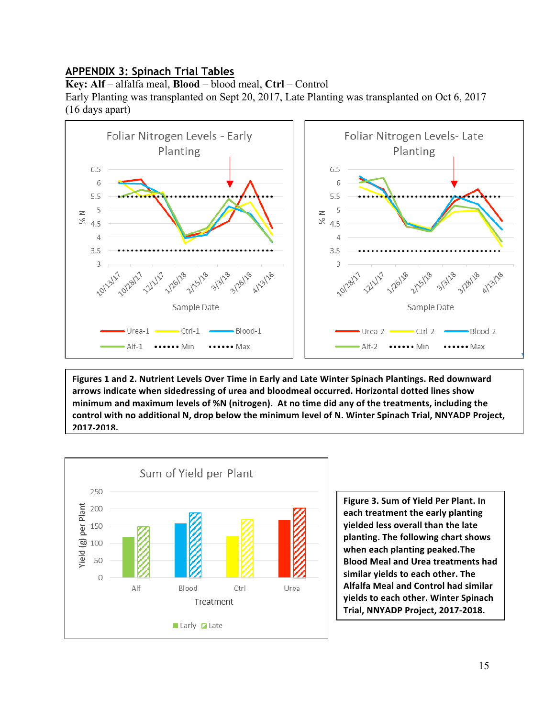## **APPENDIX 3: Spinach Trial Tables**

**Key: Alf** – alfalfa meal, **Blood** – blood meal, **Ctrl** – Control

Early Planting was transplanted on Sept 20, 2017, Late Planting was transplanted on Oct 6, 2017 (16 days apart)



Figures 1 and 2. Nutrient Levels Over Time in Early and Late Winter Spinach Plantings. Red downward arrows indicate when sidedressing of urea and bloodmeal occurred. Horizontal dotted lines show minimum and maximum levels of %N (nitrogen). At no time did any of the treatments, including the control with no additional N, drop below the minimum level of N. Winter Spinach Trial, NNYADP Project, **2017-2018.**



**Figure 3. Sum of Yield Per Plant. In each treatment the early planting yielded less overall than the late** planting. The following chart shows when each planting peaked.The **Blood Meal and Urea treatments had** similar yields to each other. The **Alfalfa Meal and Control had similar yields** to each other. Winter Spinach **Trial, NNYADP Project, 2017-2018.**